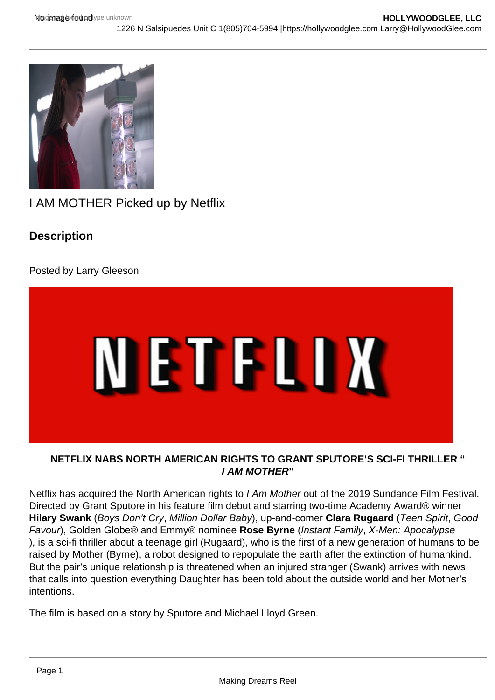

I AM MOTHER Picked up by Netflix

## **Description**

Posted by Larry Gleeson



## **NETFLIX NABS NORTH AMERICAN RIGHTS TO GRANT SPUTORE'S SCI-FI THRILLER " I AM MOTHER"**

Netflix has acquired the North American rights to I Am Mother out of the 2019 Sundance Film Festival. Directed by Grant Sputore in his feature film debut and starring two-time Academy Award® winner **Hilary Swank** (Boys Don't Cry, Million Dollar Baby), up-and-comer **Clara Rugaard** (Teen Spirit, Good Favour), Golden Globe® and Emmy® nominee **Rose Byrne** (Instant Family, X-Men: Apocalypse ), is a sci-fi thriller about a teenage girl (Rugaard), who is the first of a new generation of humans to be raised by Mother (Byrne), a robot designed to repopulate the earth after the extinction of humankind. But the pair's unique relationship is threatened when an injured stranger (Swank) arrives with news that calls into question everything Daughter has been told about the outside world and her Mother's intentions.

The film is based on a story by Sputore and Michael Lloyd Green.